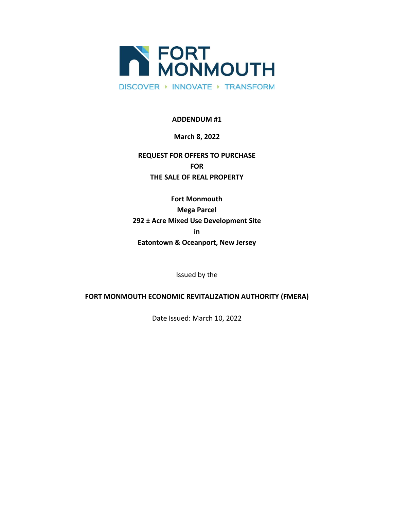

**ADDENDUM #1**

## **March 8, 2022**

## **REQUEST FOR OFFERS TO PURCHASE FOR THE SALE OF REAL PROPERTY**

**Fort Monmouth Mega Parcel 292 ± Acre Mixed Use Development Site in Eatontown & Oceanport, New Jersey**

Issued by the

## **FORT MONMOUTH ECONOMIC REVITALIZATION AUTHORITY (FMERA)**

Date Issued: March 10, 2022